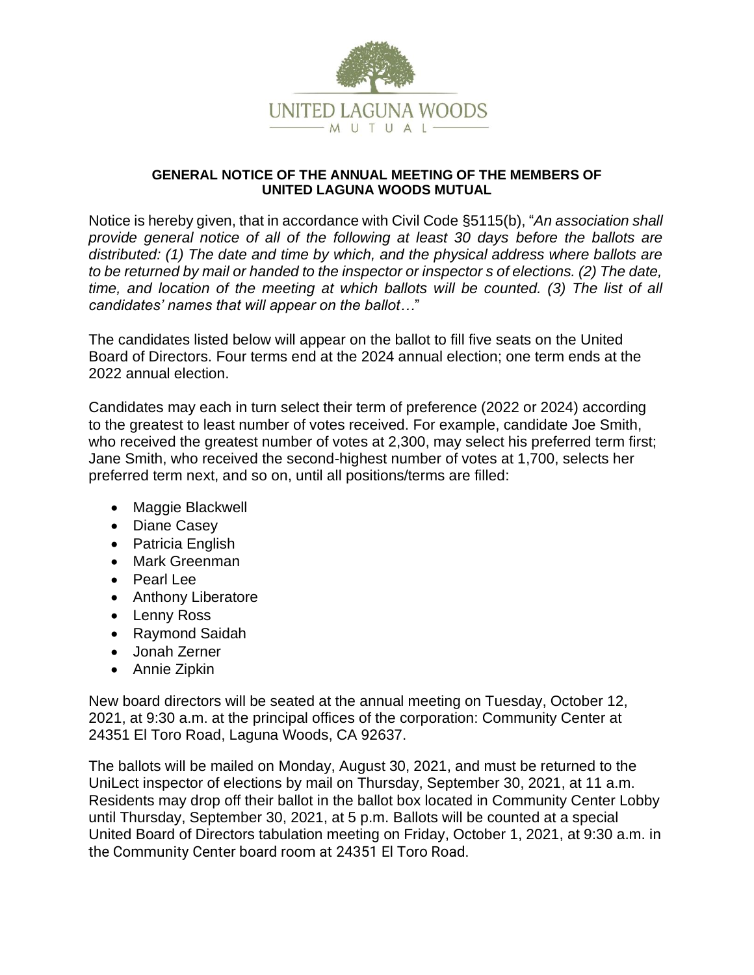

## **GENERAL NOTICE OF THE ANNUAL MEETING OF THE MEMBERS OF UNITED LAGUNA WOODS MUTUAL**

Notice is hereby given, that in accordance with Civil Code §5115(b), "*An association shall provide general notice of all of the following at least 30 days before the ballots are distributed: (1) The date and time by which, and the physical address where ballots are to be returned by mail or handed to the inspector or inspector s of elections. (2) The date, time, and location of the meeting at which ballots will be counted. (3) The list of all candidates' names that will appear on the ballot…*"

The candidates listed below will appear on the ballot to fill five seats on the United Board of Directors. Four terms end at the 2024 annual election; one term ends at the 2022 annual election.

Candidates may each in turn select their term of preference (2022 or 2024) according to the greatest to least number of votes received. For example, candidate Joe Smith, who received the greatest number of votes at 2,300, may select his preferred term first: Jane Smith, who received the second-highest number of votes at 1,700, selects her preferred term next, and so on, until all positions/terms are filled:

- Maggie Blackwell
- Diane Casey
- Patricia English
- Mark Greenman
- Pearl Lee
- Anthony Liberatore
- Lenny Ross
- Raymond Saidah
- Jonah Zerner
- Annie Zipkin

New board directors will be seated at the annual meeting on Tuesday, October 12, 2021, at 9:30 a.m. at the principal offices of the corporation: Community Center at 24351 El Toro Road, Laguna Woods, CA 92637.

The ballots will be mailed on Monday, August 30, 2021, and must be returned to the UniLect inspector of elections by mail on Thursday, September 30, 2021, at 11 a.m. Residents may drop off their ballot in the ballot box located in Community Center Lobby until Thursday, September 30, 2021, at 5 p.m. Ballots will be counted at a special United Board of Directors tabulation meeting on Friday, October 1, 2021, at 9:30 a.m. in the Community Center board room at 24351 El Toro Road.